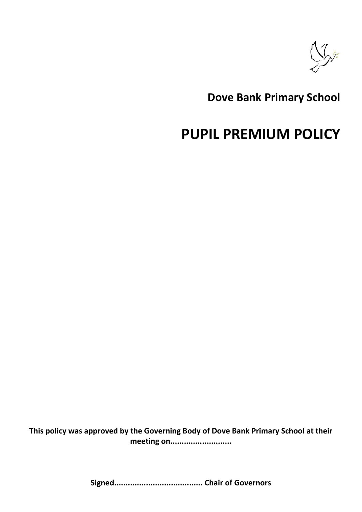

# **Dove Bank Primary School**

# **PUPIL PREMIUM POLICY**

**This policy was approved by the Governing Body of Dove Bank Primary School at their meeting on...........................**

**Signed....................................... Chair of Governors**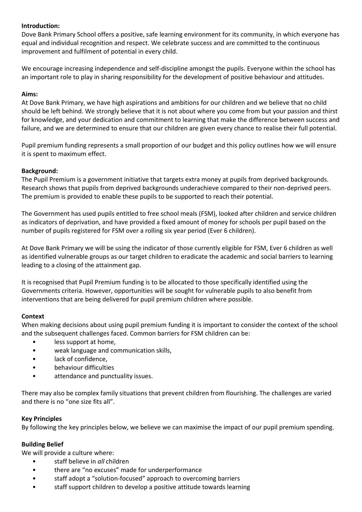## **Introduction:**

Dove Bank Primary School offers a positive, safe learning environment for its community, in which everyone has equal and individual recognition and respect. We celebrate success and are committed to the continuous improvement and fulfilment of potential in every child.

We encourage increasing independence and self-discipline amongst the pupils. Everyone within the school has an important role to play in sharing responsibility for the development of positive behaviour and attitudes.

## **Aims:**

At Dove Bank Primary, we have high aspirations and ambitions for our children and we believe that no child should be left behind. We strongly believe that it is not about where you come from but your passion and thirst for knowledge, and your dedication and commitment to learning that make the difference between success and failure, and we are determined to ensure that our children are given every chance to realise their full potential.

Pupil premium funding represents a small proportion of our budget and this policy outlines how we will ensure it is spent to maximum effect.

#### **Background:**

The Pupil Premium is a government initiative that targets extra money at pupils from deprived backgrounds. Research shows that pupils from deprived backgrounds underachieve compared to their non-deprived peers. The premium is provided to enable these pupils to be supported to reach their potential.

The Government has used pupils entitled to free school meals (FSM), looked after children and service children as indicators of deprivation, and have provided a fixed amount of money for schools per pupil based on the number of pupils registered for FSM over a rolling six year period (Ever 6 children).

At Dove Bank Primary we will be using the indicator of those currently eligible for FSM, Ever 6 children as well as identified vulnerable groups as our target children to eradicate the academic and social barriers to learning leading to a closing of the attainment gap.

It is recognised that Pupil Premium funding is to be allocated to those specifically identified using the Governments criteria. However, opportunities will be sought for vulnerable pupils to also benefit from interventions that are being delivered for pupil premium children where possible.

#### **Context**

When making decisions about using pupil premium funding it is important to consider the context of the school and the subsequent challenges faced. Common barriers for FSM children can be:

- less support at home,
- weak language and communication skills,
- lack of confidence.
- behaviour difficulties
- attendance and punctuality issues.

There may also be complex family situations that prevent children from flourishing. The challenges are varied and there is no "one size fits all".

#### **Key Principles**

By following the key principles below, we believe we can maximise the impact of our pupil premium spending.

# **Building Belief**

We will provide a culture where:

- staff believe in *all* children
- there are "no excuses" made for underperformance
- staff adopt a "solution-focused" approach to overcoming barriers
- staff support children to develop a positive attitude towards learning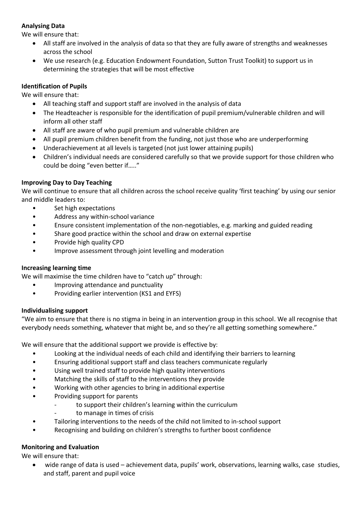# **Analysing Data**

We will ensure that:

- All staff are involved in the analysis of data so that they are fully aware of strengths and weaknesses across the school
- We use research (e.g. Education Endowment Foundation, Sutton Trust Toolkit) to support us in determining the strategies that will be most effective

# **Identification of Pupils**

We will ensure that:

- All teaching staff and support staff are involved in the analysis of data
- The Headteacher is responsible for the identification of pupil premium/vulnerable children and will inform all other staff
- All staff are aware of who pupil premium and vulnerable children are
- All pupil premium children benefit from the funding, not just those who are underperforming
- Underachievement at all levels is targeted (not just lower attaining pupils)
- Children's individual needs are considered carefully so that we provide support for those children who could be doing "even better if….."

# **Improving Day to Day Teaching**

We will continue to ensure that all children across the school receive quality 'first teaching' by using our senior and middle leaders to:

- Set high expectations
- Address any within-school variance
- Ensure consistent implementation of the non-negotiables, e.g. marking and guided reading
- Share good practice within the school and draw on external expertise
- Provide high quality CPD
- Improve assessment through joint levelling and moderation

#### **Increasing learning time**

We will maximise the time children have to "catch up" through:

- Improving attendance and punctuality
- Providing earlier intervention (KS1 and EYFS)

#### **Individualising support**

"We aim to ensure that there is no stigma in being in an intervention group in this school. We all recognise that everybody needs something, whatever that might be, and so they're all getting something somewhere."

We will ensure that the additional support we provide is effective by:

- Looking at the individual needs of each child and identifying their barriers to learning
- Ensuring additional support staff and class teachers communicate regularly
- Using well trained staff to provide high quality interventions
- Matching the skills of staff to the interventions they provide
- Working with other agencies to bring in additional expertise
- Providing support for parents
	- to support their children's learning within the curriculum
	- to manage in times of crisis
- Tailoring interventions to the needs of the child not limited to in-school support
- Recognising and building on children's strengths to further boost confidence

# **Monitoring and Evaluation**

We will ensure that:

 wide range of data is used – achievement data, pupils' work, observations, learning walks, case studies, and staff, parent and pupil voice